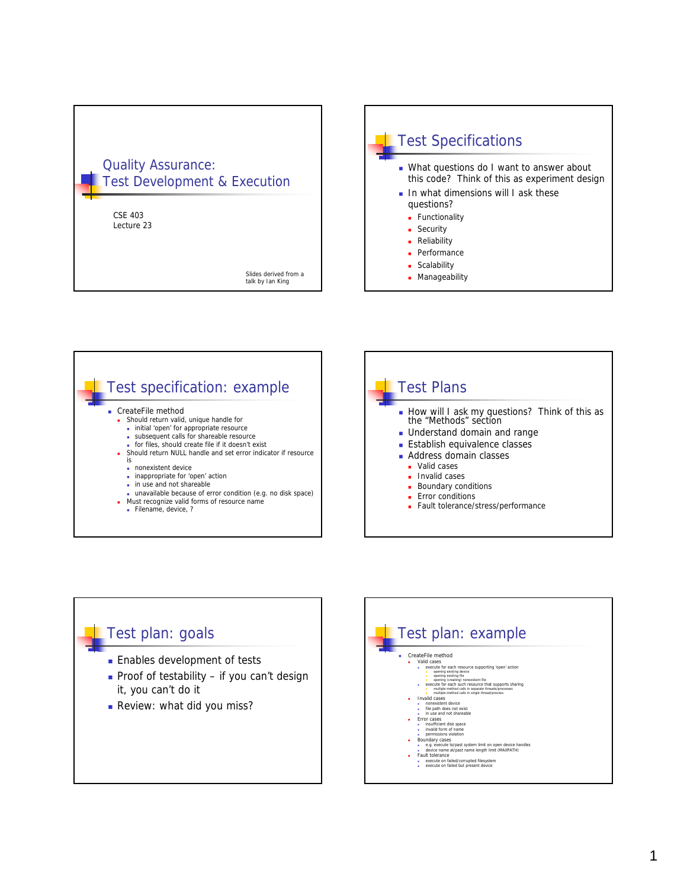









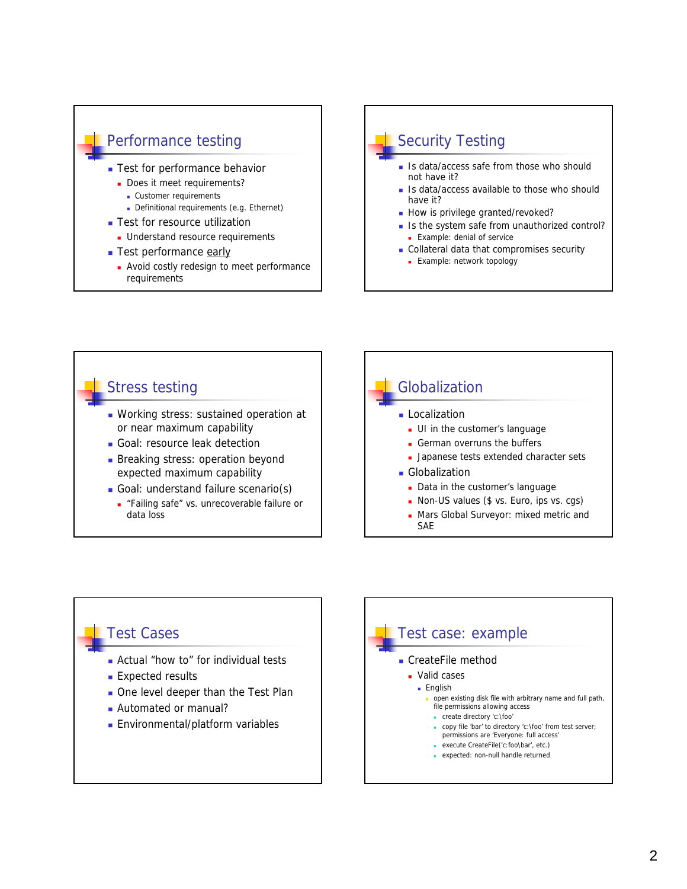



- not have it? Is data/access available to those who should
- have it?
- How is privilege granted/revoked?
- Is the system safe from unauthorized control? **Example: denial of service**
- Collateral data that compromises security
	- **Example: network topology**



#### Test Cases

- **Actual "how to" for individual tests**
- **Expected results**
- One level deeper than the Test Plan
- Automated or manual?
- **Environmental/platform variables**

#### Test case: example CreateFile method **Valid cases English**  open existing disk file with arbitrary name and full path, file permissions allowing access create directory 'c:\foo' copy file 'bar' to directory 'c:\foo' from test server; permissions are 'Everyone: full access' execute CreateFile('c:foo\bar', etc.) expected: non-null handle returned

2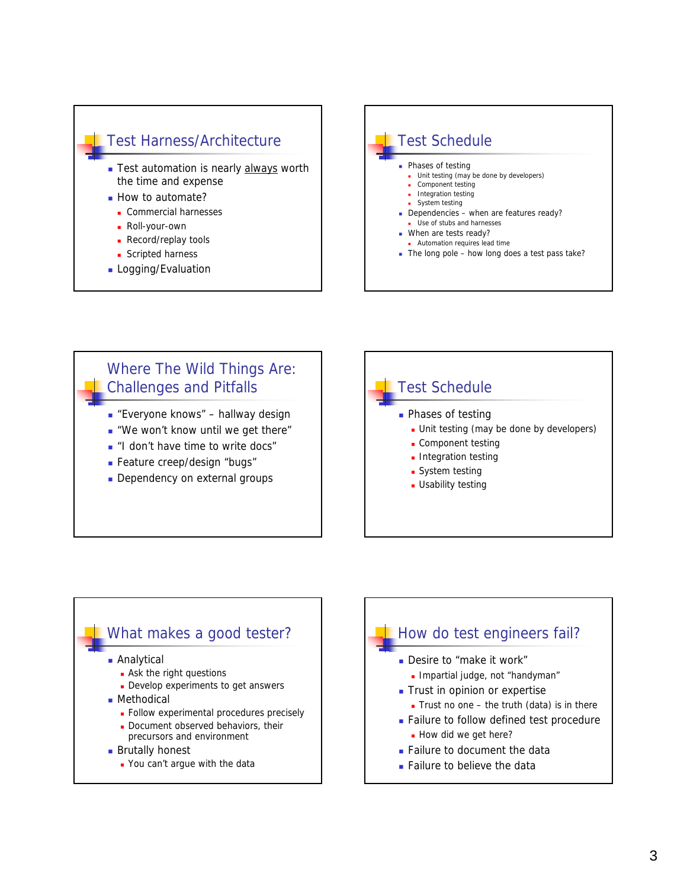



## Where The Wild Things Are: Challenges and Pitfalls ■ "Everyone knows" – hallway design "We won't know until we get there" **I** "I don't have time to write docs" Feature creep/design "bugs"

Dependency on external groups



#### What makes a good tester? **Analytical Ask the right questions Develop experiments to get answers**

- Methodical
	- **Follow experimental procedures precisely**
	- Document observed behaviors, their precursors and environment
- **Brutally honest** 
	- You can't argue with the data

# How do test engineers fail?

- Desire to "make it work"
	- **Impartial judge, not "handyman"**
- Trust in opinion or expertise
- Trust no one the truth (data) is in there
- **Failure to follow defined test procedure** How did we get here?
- Failure to document the data
- **Failure to believe the data**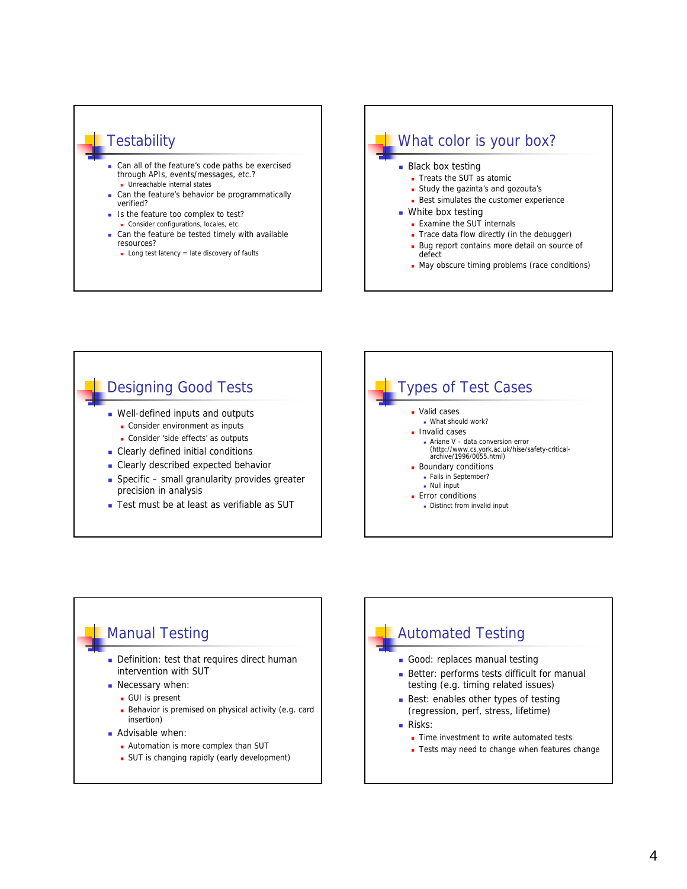

- **Can the feature's behavior be programmatically** verified?
- Is the feature too complex to test? Consider configurations, locales, etc.
- Can the feature be tested timely with available resources?
- **Long test latency = late discovery of faults**



May obscure timing problems (race conditions)





#### Automated Testing Good: replaces manual testing **Better: performs tests difficult for manual** testing (e.g. timing related issues) Best: enables other types of testing (regression, perf, stress, lifetime) **Risks:** Time investment to write automated tests **Tests may need to change when features change**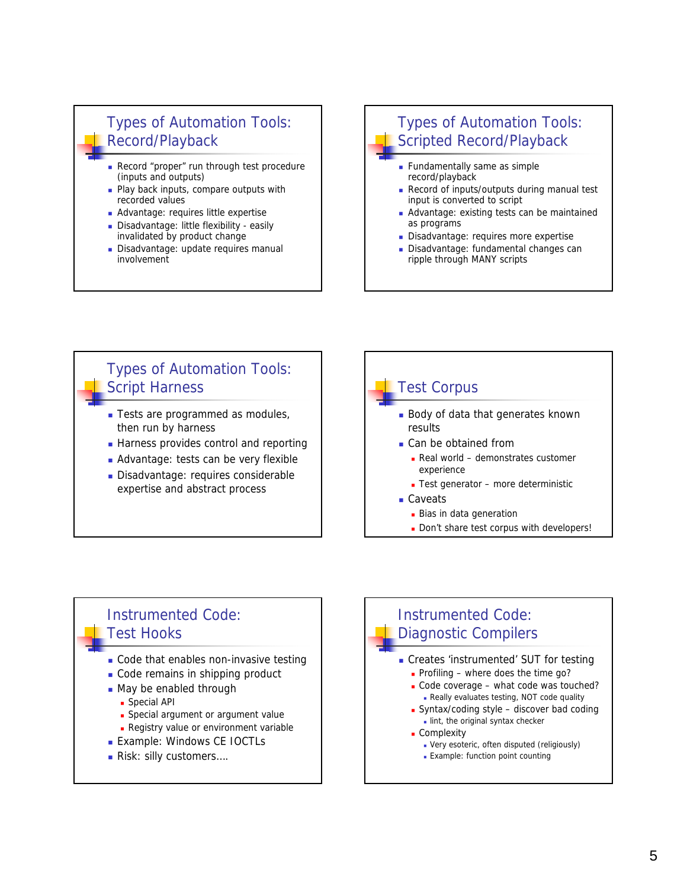### Types of Automation Tools: Record/Playback

- Record "proper" run through test procedure (inputs and outputs)
- **Play back inputs, compare outputs with** recorded values
- **Advantage: requires little expertise**
- Disadvantage: little flexibility easily invalidated by product change
- Disadvantage: update requires manual involvement

#### Types of Automation Tools: Scripted Record/Playback

- **Fundamentally same as simple** record/playback
- Record of inputs/outputs during manual test input is converted to script
- Advantage: existing tests can be maintained as programs
- Disadvantage: requires more expertise
- Disadvantage: fundamental changes can ripple through MANY scripts

#### Types of Automation Tools: Script Harness

- **Tests are programmed as modules,** then run by harness
- **Harness provides control and reporting**
- Advantage: tests can be very flexible
- Disadvantage: requires considerable expertise and abstract process

#### Test Corpus **Body of data that generates known** results ■ Can be obtained from Real world – demonstrates customer experience ■ Test generator – more deterministic ■ Caveats **Bias in data generation**

Don't share test corpus with developers!

#### Instrumented Code: Test Hooks

- Code that enables non-invasive testing
- Code remains in shipping product
- May be enabled through
	- **Special API**
	- **Special argument or argument value**
	- **Registry value or environment variable**
- **Example: Windows CE IOCTLs**
- Risk: silly customers....

## Instrumented Code: Diagnostic Compilers

- Creates 'instrumented' SUT for testing Profiling – where does the time  $q_0$ ?
	- Code coverage what code was touched?
	- Really evaluates testing, NOT code quality **Syntax/coding style - discover bad coding**
	- lint, the original syntax checker
	- **Complexity** 
		- Very esoteric, often disputed (religiously)
		- **Example: function point counting**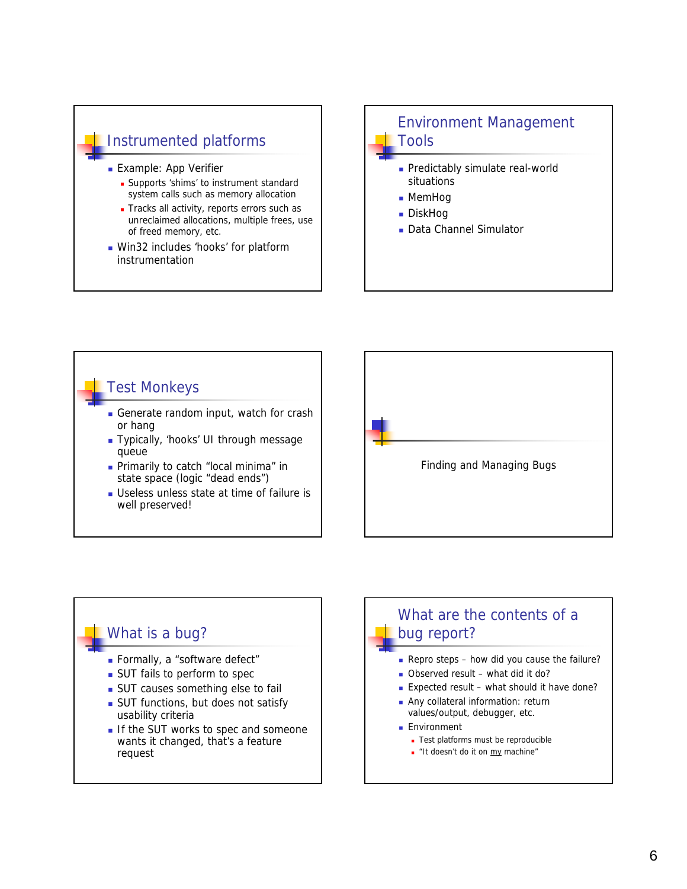#### Instrumented platforms

- **Example: App Verifier** 
	- **Supports 'shims' to instrument standard** system calls such as memory allocation
	- Tracks all activity, reports errors such as unreclaimed allocations, multiple frees, use of freed memory, etc.
- **Win32 includes 'hooks' for platform** instrumentation

#### Environment Management Tools

- **Predictably simulate real-world** situations
- MemHog
- DiskHog
- Data Channel Simulator

## Test Monkeys Generate random input, watch for crash or hang Typically, 'hooks' UI through message queue **Primarily to catch "local minima" in** state space (logic "dead ends") Useless unless state at time of failure is well preserved!



#### What is a bug?

- **Formally, a "software defect"**
- **SUT** fails to perform to spec
- **SUT** causes something else to fail
- **SUT** functions, but does not satisfy usability criteria
- If the SUT works to spec and someone wants it changed, that's a feature request

## What are the contents of a bug report?

- Repro steps how did you cause the failure?
- Observed result what did it do?
- Expected result what should it have done?
- **Any collateral information: return** values/output, debugger, etc.
- **Environment** 
	- **Test platforms must be reproducible**
	- "It doesn't do it on my machine"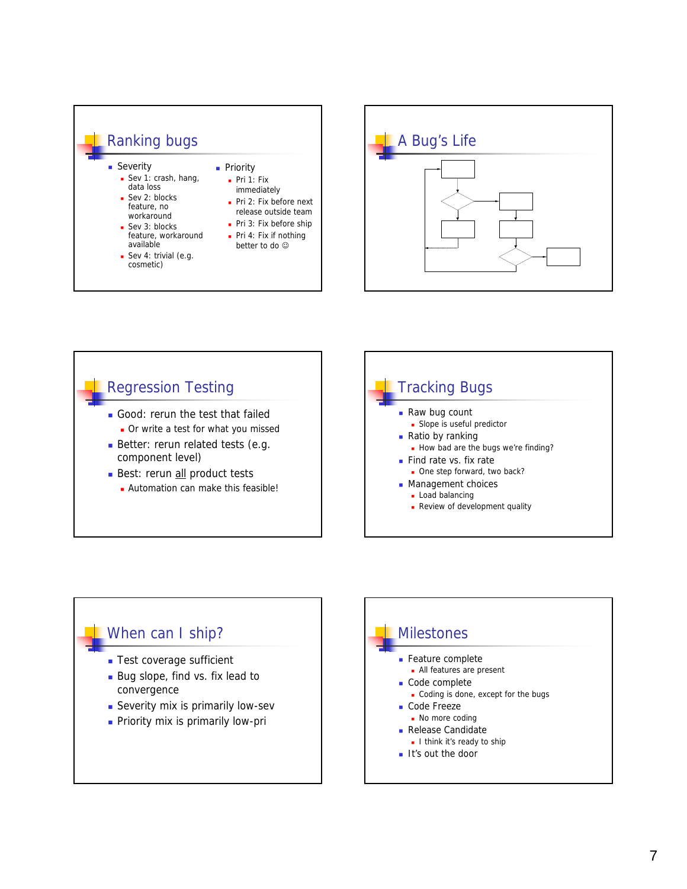





## When can I ship?

- **Test coverage sufficient**
- Bug slope, find vs. fix lead to convergence
- **Severity mix is primarily low-sev**
- **Priority mix is primarily low-pri**